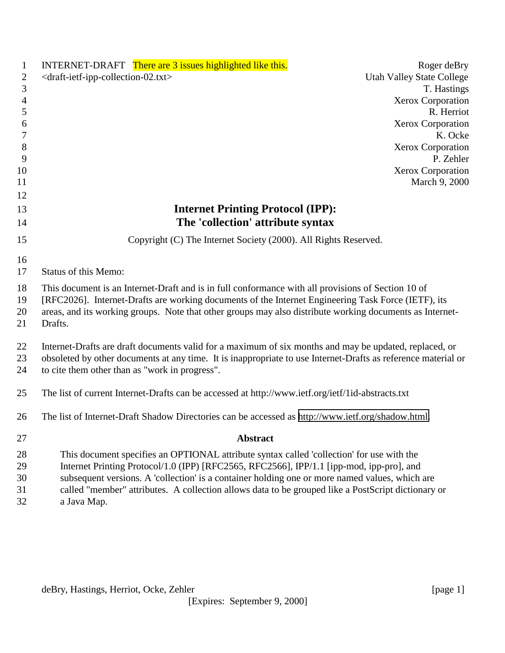| 1                   | INTERNET-DRAFT There are 3 issues highlighted like this.                                                      | Roger deBry                      |
|---------------------|---------------------------------------------------------------------------------------------------------------|----------------------------------|
| 2                   | <draft-ietf-ipp-collection-02.txt></draft-ietf-ipp-collection-02.txt>                                         | <b>Utah Valley State College</b> |
| 3                   |                                                                                                               | T. Hastings                      |
| 4                   |                                                                                                               | <b>Xerox Corporation</b>         |
| $\sqrt{5}$          |                                                                                                               | R. Herriot                       |
| 6                   |                                                                                                               | <b>Xerox Corporation</b>         |
| $\overline{7}$<br>8 |                                                                                                               | K. Ocke<br>Xerox Corporation     |
| 9                   |                                                                                                               | P. Zehler                        |
| 10                  |                                                                                                               | Xerox Corporation                |
| 11                  |                                                                                                               | March 9, 2000                    |
| 12                  |                                                                                                               |                                  |
| 13                  | <b>Internet Printing Protocol (IPP):</b>                                                                      |                                  |
| 14                  | The 'collection' attribute syntax                                                                             |                                  |
| 15                  | Copyright (C) The Internet Society (2000). All Rights Reserved.                                               |                                  |
| 16                  |                                                                                                               |                                  |
| 17                  | <b>Status of this Memo:</b>                                                                                   |                                  |
| 18                  | This document is an Internet-Draft and is in full conformance with all provisions of Section 10 of            |                                  |
| 19                  | [RFC2026]. Internet-Drafts are working documents of the Internet Engineering Task Force (IETF), its           |                                  |
| 20                  | areas, and its working groups. Note that other groups may also distribute working documents as Internet-      |                                  |
| 21                  | Drafts.                                                                                                       |                                  |
| 22                  | Internet-Drafts are draft documents valid for a maximum of six months and may be updated, replaced, or        |                                  |
| 23                  | obsoleted by other documents at any time. It is inappropriate to use Internet-Drafts as reference material or |                                  |
| 24                  | to cite them other than as "work in progress".                                                                |                                  |
| 25                  | The list of current Internet-Drafts can be accessed at http://www.ietf.org/ietf/1id-abstracts.txt             |                                  |
| 26                  | The list of Internet-Draft Shadow Directories can be accessed as http://www.ietf.org/shadow.html.             |                                  |
| 27                  | <b>Abstract</b>                                                                                               |                                  |
| 28                  | This document specifies an OPTIONAL attribute syntax called 'collection' for use with the                     |                                  |
| 29                  | Internet Printing Protocol/1.0 (IPP) [RFC2565, RFC2566], IPP/1.1 [ipp-mod, ipp-pro], and                      |                                  |
| 30                  | subsequent versions. A 'collection' is a container holding one or more named values, which are                |                                  |
| 31                  | called "member" attributes. A collection allows data to be grouped like a PostScript dictionary or            |                                  |
| 32                  | a Java Map.                                                                                                   |                                  |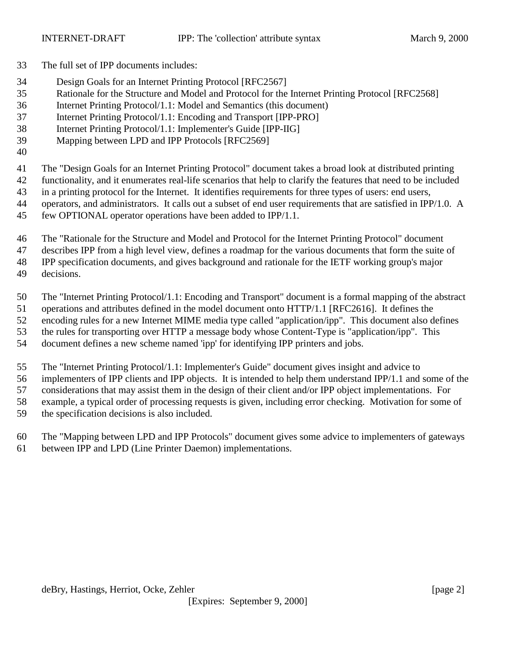- The full set of IPP documents includes:
- Design Goals for an Internet Printing Protocol [RFC2567]
- Rationale for the Structure and Model and Protocol for the Internet Printing Protocol [RFC2568]
- Internet Printing Protocol/1.1: Model and Semantics (this document)
- Internet Printing Protocol/1.1: Encoding and Transport [IPP-PRO]
- Internet Printing Protocol/1.1: Implementer's Guide [IPP-IIG]
- Mapping between LPD and IPP Protocols [RFC2569]
- 

The "Design Goals for an Internet Printing Protocol" document takes a broad look at distributed printing

functionality, and it enumerates real-life scenarios that help to clarify the features that need to be included

 in a printing protocol for the Internet. It identifies requirements for three types of users: end users, operators, and administrators. It calls out a subset of end user requirements that are satisfied in IPP/1.0. A

- few OPTIONAL operator operations have been added to IPP/1.1.
	- The "Rationale for the Structure and Model and Protocol for the Internet Printing Protocol" document

describes IPP from a high level view, defines a roadmap for the various documents that form the suite of

IPP specification documents, and gives background and rationale for the IETF working group's major

decisions.

The "Internet Printing Protocol/1.1: Encoding and Transport" document is a formal mapping of the abstract

operations and attributes defined in the model document onto HTTP/1.1 [RFC2616]. It defines the

encoding rules for a new Internet MIME media type called "application/ipp". This document also defines

the rules for transporting over HTTP a message body whose Content-Type is "application/ipp". This

document defines a new scheme named 'ipp' for identifying IPP printers and jobs.

The "Internet Printing Protocol/1.1: Implementer's Guide" document gives insight and advice to

implementers of IPP clients and IPP objects. It is intended to help them understand IPP/1.1 and some of the

considerations that may assist them in the design of their client and/or IPP object implementations. For

example, a typical order of processing requests is given, including error checking. Motivation for some of

the specification decisions is also included.

 The "Mapping between LPD and IPP Protocols" document gives some advice to implementers of gateways between IPP and LPD (Line Printer Daemon) implementations.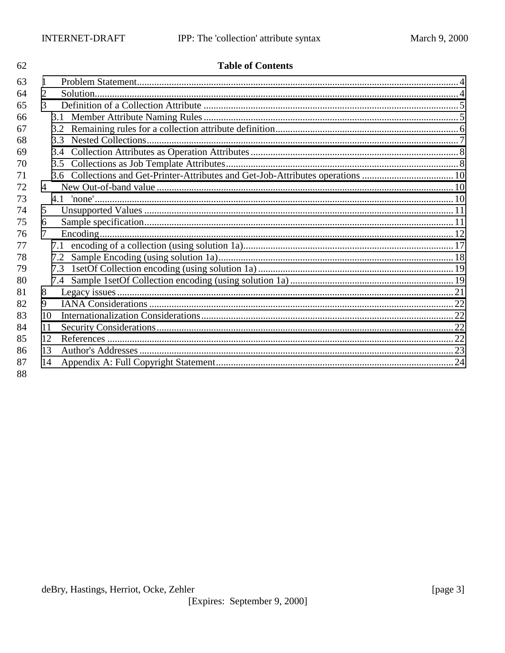62

| 63 |                |     |  |
|----|----------------|-----|--|
| 64 | 2              |     |  |
| 65 | 3              |     |  |
| 66 |                |     |  |
| 67 |                |     |  |
| 68 |                |     |  |
| 69 |                | 3.4 |  |
| 70 |                | 3.5 |  |
| 71 |                |     |  |
| 72 | $\overline{4}$ |     |  |
| 73 |                |     |  |
| 74 | 5              |     |  |
| 75 | 6              |     |  |
| 76 | 7              |     |  |
| 77 |                |     |  |
| 78 |                | 7.2 |  |
| 79 |                |     |  |
| 80 |                | 7.4 |  |
| 81 | 8              |     |  |
| 82 | 9              |     |  |
| 83 | 10             |     |  |
| 84 | 11             |     |  |
| 85 | 12             |     |  |
| 86 | 13             |     |  |
| 87 | 14             |     |  |
| 88 |                |     |  |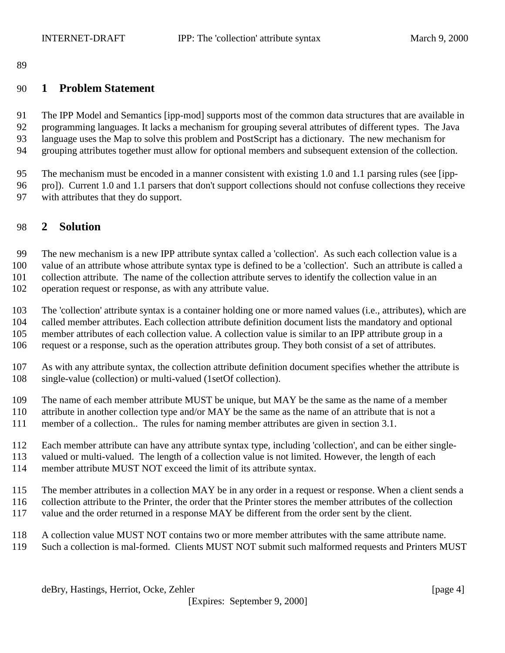<span id="page-3-0"></span>

## **1 Problem Statement**

 The IPP Model and Semantics [ipp-mod] supports most of the common data structures that are available in programming languages. It lacks a mechanism for grouping several attributes of different types. The Java language uses the Map to solve this problem and PostScript has a dictionary. The new mechanism for grouping attributes together must allow for optional members and subsequent extension of the collection.

The mechanism must be encoded in a manner consistent with existing 1.0 and 1.1 parsing rules (see [ipp-

 pro]). Current 1.0 and 1.1 parsers that don't support collections should not confuse collections they receive with attributes that they do support.

## **2 Solution**

 The new mechanism is a new IPP attribute syntax called a 'collection'. As such each collection value is a value of an attribute whose attribute syntax type is defined to be a 'collection'. Such an attribute is called a

collection attribute. The name of the collection attribute serves to identify the collection value in an

operation request or response, as with any attribute value.

The 'collection' attribute syntax is a container holding one or more named values (i.e., attributes), which are

called member attributes. Each collection attribute definition document lists the mandatory and optional

member attributes of each collection value. A collection value is similar to an IPP attribute group in a

request or a response, such as the operation attributes group. They both consist of a set of attributes.

- As with any attribute syntax, the collection attribute definition document specifies whether the attribute is single-value (collection) or multi-valued (1setOf collection).
- The name of each member attribute MUST be unique, but MAY be the same as the name of a member
- attribute in another collection type and/or MAY be the same as the name of an attribute that is not a
- member of a collection.. The rules for naming member attributes are given in section 3.1.
- Each member attribute can have any attribute syntax type, including 'collection', and can be either single-
- valued or multi-valued. The length of a collection value is not limited. However, the length of each
- member attribute MUST NOT exceed the limit of its attribute syntax.
- The member attributes in a collection MAY be in any order in a request or response. When a client sends a collection attribute to the Printer, the order that the Printer stores the member attributes of the collection value and the order returned in a response MAY be different from the order sent by the client.
- A collection value MUST NOT contains two or more member attributes with the same attribute name.
- Such a collection is mal-formed. Clients MUST NOT submit such malformed requests and Printers MUST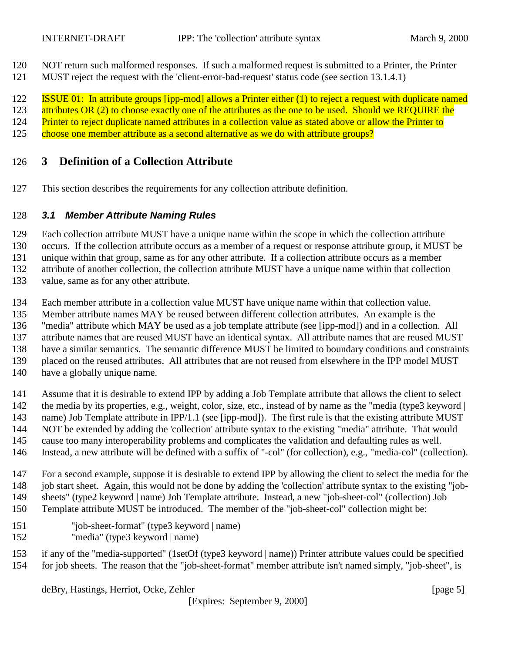- <span id="page-4-0"></span>NOT return such malformed responses. If such a malformed request is submitted to a Printer, the Printer
- MUST reject the request with the 'client-error-bad-request' status code (see section 13.1.4.1)

122 ISSUE 01: In attribute groups [ipp-mod] allows a Printer either (1) to reject a request with duplicate named

123 attributes OR (2) to choose exactly one of the attributes as the one to be used. Should we REQUIRE the

124 Printer to reject duplicate named attributes in a collection value as stated above or allow the Printer to

125 choose one member attribute as a second alternative as we do with attribute groups?

## **3 Definition of a Collection Attribute**

This section describes the requirements for any collection attribute definition.

## *3.1 Member Attribute Naming Rules*

Each collection attribute MUST have a unique name within the scope in which the collection attribute

occurs. If the collection attribute occurs as a member of a request or response attribute group, it MUST be

unique within that group, same as for any other attribute. If a collection attribute occurs as a member

attribute of another collection, the collection attribute MUST have a unique name within that collection

value, same as for any other attribute.

- Each member attribute in a collection value MUST have unique name within that collection value.
- Member attribute names MAY be reused between different collection attributes. An example is the

"media" attribute which MAY be used as a job template attribute (see [ipp-mod]) and in a collection. All

attribute names that are reused MUST have an identical syntax. All attribute names that are reused MUST

have a similar semantics. The semantic difference MUST be limited to boundary conditions and constraints

placed on the reused attributes. All attributes that are not reused from elsewhere in the IPP model MUST

have a globally unique name.

 Assume that it is desirable to extend IPP by adding a Job Template attribute that allows the client to select 142 the media by its properties, e.g., weight, color, size, etc., instead of by name as the "media (type3 keyword |

name) Job Template attribute in IPP/1.1 (see [ipp-mod]). The first rule is that the existing attribute MUST

- NOT be extended by adding the 'collection' attribute syntax to the existing "media" attribute. That would
- cause too many interoperability problems and complicates the validation and defaulting rules as well.
- Instead, a new attribute will be defined with a suffix of "-col" (for collection), e.g., "media-col" (collection).
- For a second example, suppose it is desirable to extend IPP by allowing the client to select the media for the 148 job start sheet. Again, this would not be done by adding the 'collection' attribute syntax to the existing "job-

 sheets" (type2 keyword | name) Job Template attribute. Instead, a new "job-sheet-col" (collection) Job Template attribute MUST be introduced. The member of the "job-sheet-col" collection might be:

- "job-sheet-format" (type3 keyword | name)
- "media" (type3 keyword | name)

 if any of the "media-supported" (1setOf (type3 keyword | name)) Printer attribute values could be specified for job sheets. The reason that the "job-sheet-format" member attribute isn't named simply, "job-sheet", is

deBry, Hastings, Herriot, Ocke, Zehler [page 5]

[Expires: September 9, 2000]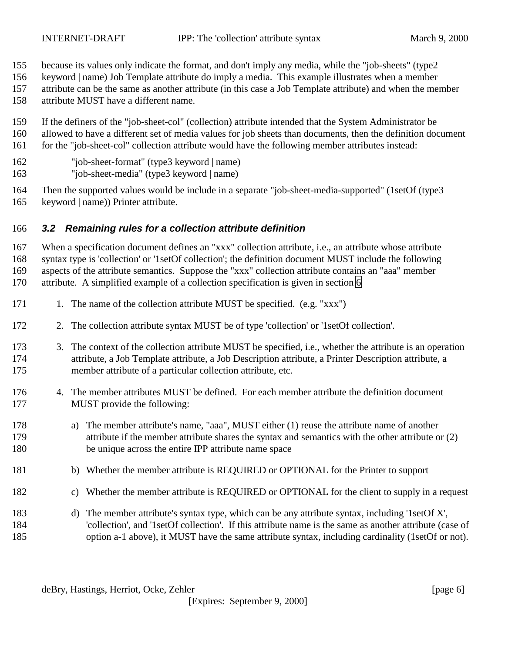- <span id="page-5-0"></span>because its values only indicate the format, and don't imply any media, while the "job-sheets" (type2
- keyword | name) Job Template attribute do imply a media. This example illustrates when a member
- attribute can be the same as another attribute (in this case a Job Template attribute) and when the member
- attribute MUST have a different name.
- If the definers of the "job-sheet-col" (collection) attribute intended that the System Administrator be allowed to have a different set of media values for job sheets than documents, then the definition document for the "job-sheet-col" collection attribute would have the following member attributes instead:
- "job-sheet-format" (type3 keyword | name)
- "job-sheet-media" (type3 keyword | name)
- Then the supported values would be include in a separate "job-sheet-media-supported" (1setOf (type3 keyword | name)) Printer attribute.

## *3.2 Remaining rules for a collection attribute definition*

 When a specification document defines an "xxx" collection attribute, i.e., an attribute whose attribute syntax type is 'collection' or '1setOf collection'; the definition document MUST include the following aspects of the attribute semantics. Suppose the "xxx" collection attribute contains an "aaa" member attribute. A simplified example of a collection specification is given in section [6](#page-10-0)

- 171 1. The name of the collection attribute MUST be specified. (e.g. "xxx")
- 2. The collection attribute syntax MUST be of type 'collection' or '1setOf collection'.
- 3. The context of the collection attribute MUST be specified, i.e., whether the attribute is an operation attribute, a Job Template attribute, a Job Description attribute, a Printer Description attribute, a member attribute of a particular collection attribute, etc.
- 4. The member attributes MUST be defined. For each member attribute the definition document MUST provide the following:
- a) The member attribute's name, "aaa", MUST either (1) reuse the attribute name of another attribute if the member attribute shares the syntax and semantics with the other attribute or (2) be unique across the entire IPP attribute name space
- 181 b) Whether the member attribute is REQUIRED or OPTIONAL for the Printer to support
- c) Whether the member attribute is REQUIRED or OPTIONAL for the client to supply in a request
- d) The member attribute's syntax type, which can be any attribute syntax, including '1setOf X', 'collection', and '1setOf collection'. If this attribute name is the same as another attribute (case of option a-1 above), it MUST have the same attribute syntax, including cardinality (1setOf or not).

deBry, Hastings, Herriot, Ocke, Zehler [page 6]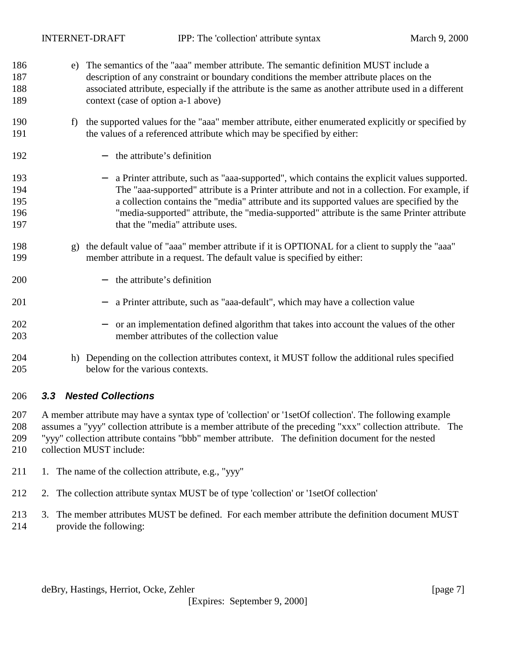- <span id="page-6-0"></span> e) The semantics of the "aaa" member attribute. The semantic definition MUST include a description of any constraint or boundary conditions the member attribute places on the associated attribute, especially if the attribute is the same as another attribute used in a different context (case of option a-1 above)
- f) the supported values for the "aaa" member attribute, either enumerated explicitly or specified by the values of a referenced attribute which may be specified by either:
- − the attribute's definition
- − a Printer attribute, such as "aaa-supported", which contains the explicit values supported. The "aaa-supported" attribute is a Printer attribute and not in a collection. For example, if a collection contains the "media" attribute and its supported values are specified by the "media-supported" attribute, the "media-supported" attribute is the same Printer attribute 197 that the "media" attribute uses.
- g) the default value of "aaa" member attribute if it is OPTIONAL for a client to supply the "aaa" member attribute in a request. The default value is specified by either:
- − the attribute's definition
- 201 − a Printer attribute, such as "aaa-default", which may have a collection value
- − or an implementation defined algorithm that takes into account the values of the other member attributes of the collection value
- h) Depending on the collection attributes context, it MUST follow the additional rules specified below for the various contexts.

#### *3.3 Nested Collections*

 A member attribute may have a syntax type of 'collection' or '1setOf collection'. The following example assumes a "yyy" collection attribute is a member attribute of the preceding "xxx" collection attribute. The "yyy" collection attribute contains "bbb" member attribute. The definition document for the nested collection MUST include:

- 211 1. The name of the collection attribute, e.g., "yyy"
- 2. The collection attribute syntax MUST be of type 'collection' or '1setOf collection'
- 3. The member attributes MUST be defined. For each member attribute the definition document MUST provide the following: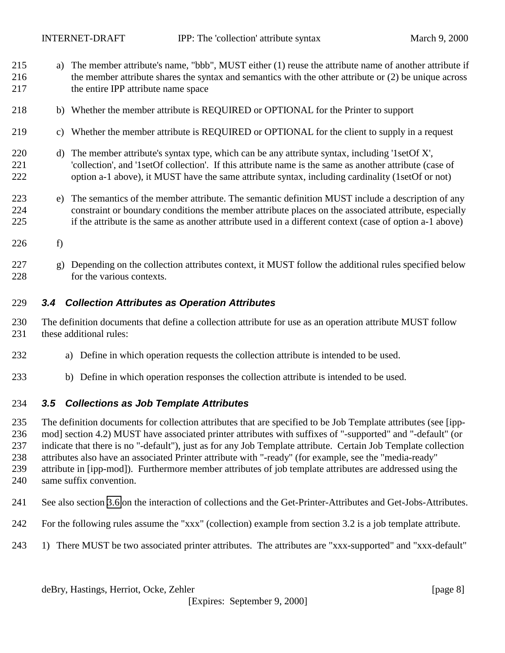- <span id="page-7-0"></span> a) The member attribute's name, "bbb", MUST either (1) reuse the attribute name of another attribute if the member attribute shares the syntax and semantics with the other attribute or (2) be unique across the entire IPP attribute name space
- b) Whether the member attribute is REQUIRED or OPTIONAL for the Printer to support
- c) Whether the member attribute is REQUIRED or OPTIONAL for the client to supply in a request
- 220 d) The member attribute's syntax type, which can be any attribute syntax, including '1setOf X', 'collection', and '1setOf collection'. If this attribute name is the same as another attribute (case of option a-1 above), it MUST have the same attribute syntax, including cardinality (1setOf or not)
- e) The semantics of the member attribute. The semantic definition MUST include a description of any constraint or boundary conditions the member attribute places on the associated attribute, especially if the attribute is the same as another attribute used in a different context (case of option a-1 above)
- f)
- g) Depending on the collection attributes context, it MUST follow the additional rules specified below for the various contexts.

#### *3.4 Collection Attributes as Operation Attributes*

- The definition documents that define a collection attribute for use as an operation attribute MUST follow these additional rules:
- a) Define in which operation requests the collection attribute is intended to be used.
- b) Define in which operation responses the collection attribute is intended to be used.

#### *3.5 Collections as Job Template Attributes*

 The definition documents for collection attributes that are specified to be Job Template attributes (see [ipp- mod] section 4.2) MUST have associated printer attributes with suffixes of "-supported" and "-default" (or indicate that there is no "-default"), just as for any Job Template attribute. Certain Job Template collection attributes also have an associated Printer attribute with "-ready" (for example, see the "media-ready" attribute in [ipp-mod]). Furthermore member attributes of job template attributes are addressed using the

- same suffix convention.
- See also section [3.6](#page-9-0) on the interaction of collections and the Get-Printer-Attributes and Get-Jobs-Attributes.
- For the following rules assume the "xxx" (collection) example from section 3.2 is a job template attribute.
- 1) There MUST be two associated printer attributes. The attributes are "xxx-supported" and "xxx-default"

deBry, Hastings, Herriot, Ocke, Zehler [page 8]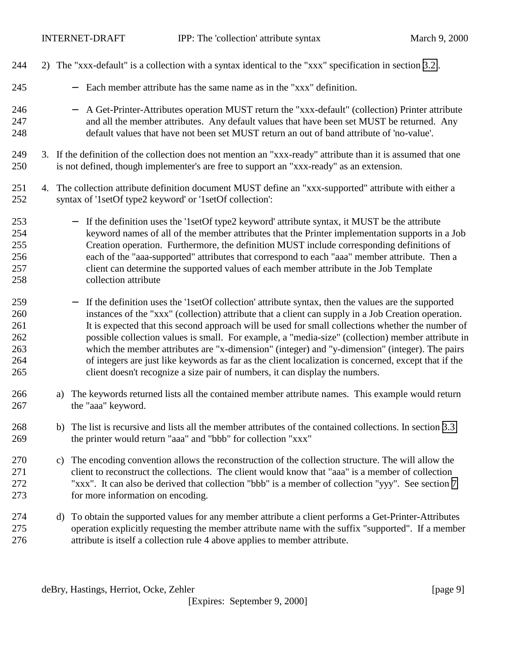| 244                                           | 2) The "xxx-default" is a collection with a syntax identical to the "xxx" specification in section 3.2.                                                                                                                                                                                                                                                                                                                                                                                                                                                                                                                                                                                                                                    |  |
|-----------------------------------------------|--------------------------------------------------------------------------------------------------------------------------------------------------------------------------------------------------------------------------------------------------------------------------------------------------------------------------------------------------------------------------------------------------------------------------------------------------------------------------------------------------------------------------------------------------------------------------------------------------------------------------------------------------------------------------------------------------------------------------------------------|--|
| 245                                           | Each member attribute has the same name as in the "xxx" definition.<br>$\qquad \qquad -$                                                                                                                                                                                                                                                                                                                                                                                                                                                                                                                                                                                                                                                   |  |
| 246<br>247<br>248                             | A Get-Printer-Attributes operation MUST return the "xxx-default" (collection) Printer attribute<br>$\qquad \qquad -$<br>and all the member attributes. Any default values that have been set MUST be returned. Any<br>default values that have not been set MUST return an out of band attribute of 'no-value'.                                                                                                                                                                                                                                                                                                                                                                                                                            |  |
| 249<br>250                                    | 3. If the definition of the collection does not mention an "xxx-ready" attribute than it is assumed that one<br>is not defined, though implementer's are free to support an "xxx-ready" as an extension.                                                                                                                                                                                                                                                                                                                                                                                                                                                                                                                                   |  |
| 251<br>252                                    | 4. The collection attribute definition document MUST define an "xxx-supported" attribute with either a<br>syntax of '1setOf type2 keyword' or '1setOf collection':                                                                                                                                                                                                                                                                                                                                                                                                                                                                                                                                                                         |  |
| 253<br>254<br>255<br>256<br>257<br>258        | - If the definition uses the '1setOf type2 keyword' attribute syntax, it MUST be the attribute<br>keyword names of all of the member attributes that the Printer implementation supports in a Job<br>Creation operation. Furthermore, the definition MUST include corresponding definitions of<br>each of the "aaa-supported" attributes that correspond to each "aaa" member attribute. Then a<br>client can determine the supported values of each member attribute in the Job Template<br>collection attribute                                                                                                                                                                                                                          |  |
| 259<br>260<br>261<br>262<br>263<br>264<br>265 | If the definition uses the '1setOf collection' attribute syntax, then the values are the supported<br>$\overline{\phantom{0}}$<br>instances of the "xxx" (collection) attribute that a client can supply in a Job Creation operation.<br>It is expected that this second approach will be used for small collections whether the number of<br>possible collection values is small. For example, a "media-size" (collection) member attribute in<br>which the member attributes are "x-dimension" (integer) and "y-dimension" (integer). The pairs<br>of integers are just like keywords as far as the client localization is concerned, except that if the<br>client doesn't recognize a size pair of numbers, it can display the numbers. |  |
| 266<br>267                                    | The keywords returned lists all the contained member attribute names. This example would return<br>a)<br>the "aaa" keyword.                                                                                                                                                                                                                                                                                                                                                                                                                                                                                                                                                                                                                |  |
| 268<br>269                                    | b) The list is recursive and lists all the member attributes of the contained collections. In section 3.3<br>the printer would return "aaa" and "bbb" for collection "xxx"                                                                                                                                                                                                                                                                                                                                                                                                                                                                                                                                                                 |  |
| 270<br>271<br>272<br>273                      | The encoding convention allows the reconstruction of the collection structure. The will allow the<br>c)<br>client to reconstruct the collections. The client would know that "aaa" is a member of collection<br>"xxx". It can also be derived that collection "bbb" is a member of collection "yyy". See section 7<br>for more information on encoding.                                                                                                                                                                                                                                                                                                                                                                                    |  |
| 274<br>275<br>276                             | To obtain the supported values for any member attribute a client performs a Get-Printer-Attributes<br>d)<br>operation explicitly requesting the member attribute name with the suffix "supported". If a member<br>attribute is itself a collection rule 4 above applies to member attribute.                                                                                                                                                                                                                                                                                                                                                                                                                                               |  |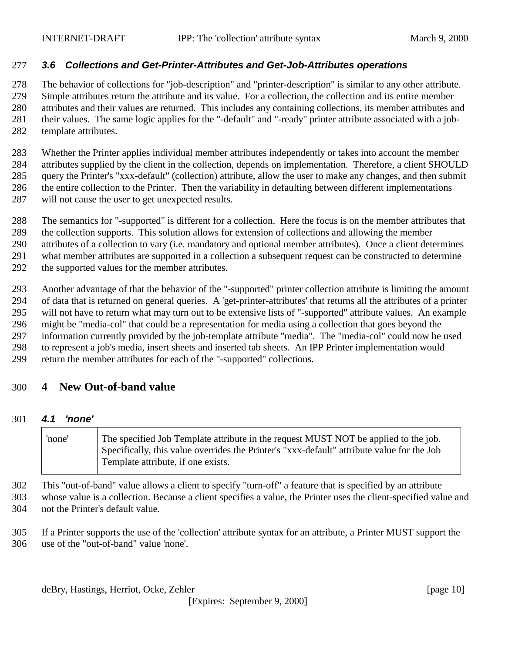#### <span id="page-9-0"></span>*3.6 Collections and Get-Printer-Attributes and Get-Job-Attributes operations*

The behavior of collections for "job-description" and "printer-description" is similar to any other attribute.

 Simple attributes return the attribute and its value. For a collection, the collection and its entire member attributes and their values are returned. This includes any containing collections, its member attributes and

their values. The same logic applies for the "-default" and "-ready" printer attribute associated with a job-

template attributes.

 Whether the Printer applies individual member attributes independently or takes into account the member attributes supplied by the client in the collection, depends on implementation. Therefore, a client SHOULD query the Printer's "xxx-default" (collection) attribute, allow the user to make any changes, and then submit the entire collection to the Printer. Then the variability in defaulting between different implementations will not cause the user to get unexpected results.

- The semantics for "-supported" is different for a collection. Here the focus is on the member attributes that
- the collection supports. This solution allows for extension of collections and allowing the member
- attributes of a collection to vary (i.e. mandatory and optional member attributes). Once a client determines
- what member attributes are supported in a collection a subsequent request can be constructed to determine
- the supported values for the member attributes.

 Another advantage of that the behavior of the "-supported" printer collection attribute is limiting the amount of data that is returned on general queries. A 'get-printer-attributes' that returns all the attributes of a printer will not have to return what may turn out to be extensive lists of "-supported" attribute values. An example might be "media-col" that could be a representation for media using a collection that goes beyond the information currently provided by the job-template attribute "media". The "media-col" could now be used to represent a job's media, insert sheets and inserted tab sheets. An IPP Printer implementation would

return the member attributes for each of the "-supported" collections.

## **4 New Out-of-band value**

#### *4.1 'none'*

'none' The specified Job Template attribute in the request MUST NOT be applied to the job. Specifically, this value overrides the Printer's "xxx-default" attribute value for the Job Template attribute, if one exists.

 This "out-of-band" value allows a client to specify "turn-off" a feature that is specified by an attribute whose value is a collection. Because a client specifies a value, the Printer uses the client-specified value and not the Printer's default value.

 If a Printer supports the use of the 'collection' attribute syntax for an attribute, a Printer MUST support the use of the "out-of-band" value 'none'.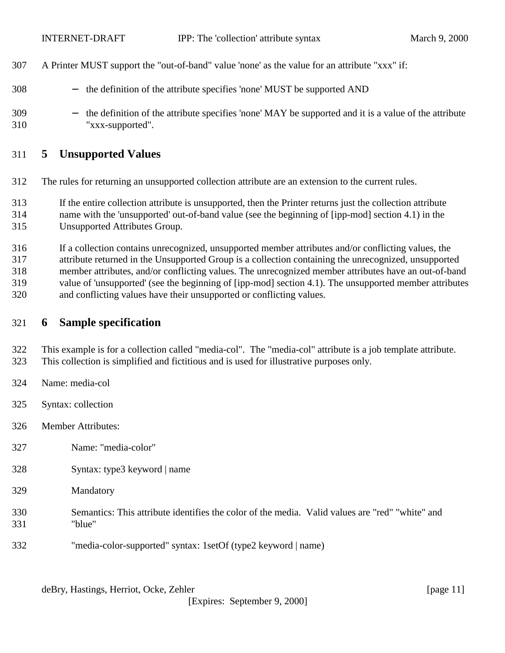- <span id="page-10-0"></span>A Printer MUST support the "out-of-band" value 'none' as the value for an attribute "xxx" if:
- 308 − the definition of the attribute specifies 'none' MUST be supported AND
- 309 − the definition of the attribute specifies 'none' MAY be supported and it is a value of the attribute "xxx-supported".

## **5 Unsupported Values**

- The rules for returning an unsupported collection attribute are an extension to the current rules.
- If the entire collection attribute is unsupported, then the Printer returns just the collection attribute
- name with the 'unsupported' out-of-band value (see the beginning of [ipp-mod] section 4.1) in the
- Unsupported Attributes Group.
- If a collection contains unrecognized, unsupported member attributes and/or conflicting values, the attribute returned in the Unsupported Group is a collection containing the unrecognized, unsupported
- member attributes, and/or conflicting values. The unrecognized member attributes have an out-of-band
- value of 'unsupported' (see the beginning of [ipp-mod] section 4.1). The unsupported member attributes
- and conflicting values have their unsupported or conflicting values.

## **6 Sample specification**

- This example is for a collection called "media-col". The "media-col" attribute is a job template attribute. This collection is simplified and fictitious and is used for illustrative purposes only.
- Name: media-col
- Syntax: collection
- Member Attributes:
- Name: "media-color"
- Syntax: type3 keyword | name
- Mandatory
- Semantics: This attribute identifies the color of the media. Valid values are "red" "white" and "blue"
- "media-color-supported" syntax: 1setOf (type2 keyword | name)

deBry, Hastings, Herriot, Ocke, Zehler [page 11]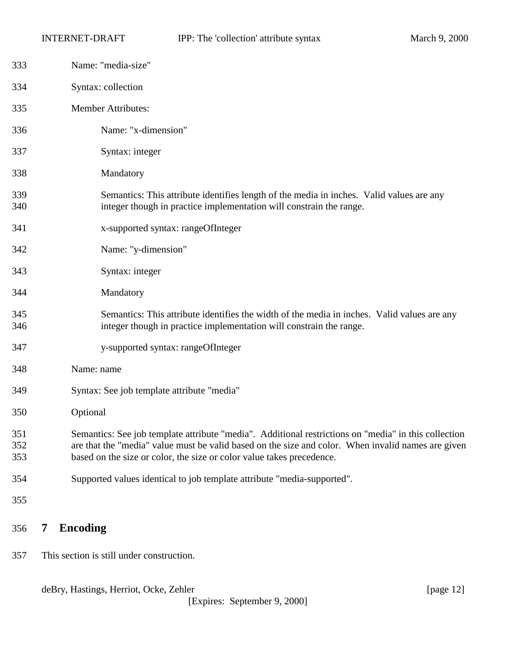<span id="page-11-0"></span>

| 333               |   | Name: "media-size"                                                                                                                                                                                                                                                                  |  |  |
|-------------------|---|-------------------------------------------------------------------------------------------------------------------------------------------------------------------------------------------------------------------------------------------------------------------------------------|--|--|
| 334               |   | Syntax: collection                                                                                                                                                                                                                                                                  |  |  |
| 335               |   | <b>Member Attributes:</b>                                                                                                                                                                                                                                                           |  |  |
| 336               |   | Name: "x-dimension"                                                                                                                                                                                                                                                                 |  |  |
| 337               |   | Syntax: integer                                                                                                                                                                                                                                                                     |  |  |
| 338               |   | Mandatory                                                                                                                                                                                                                                                                           |  |  |
| 339<br>340        |   | Semantics: This attribute identifies length of the media in inches. Valid values are any<br>integer though in practice implementation will constrain the range.                                                                                                                     |  |  |
| 341               |   | x-supported syntax: rangeOfInteger                                                                                                                                                                                                                                                  |  |  |
| 342               |   | Name: "y-dimension"                                                                                                                                                                                                                                                                 |  |  |
| 343               |   | Syntax: integer                                                                                                                                                                                                                                                                     |  |  |
| 344               |   | Mandatory                                                                                                                                                                                                                                                                           |  |  |
| 345<br>346        |   | Semantics: This attribute identifies the width of the media in inches. Valid values are any<br>integer though in practice implementation will constrain the range.                                                                                                                  |  |  |
| 347               |   | y-supported syntax: rangeOfInteger                                                                                                                                                                                                                                                  |  |  |
| 348               |   | Name: name                                                                                                                                                                                                                                                                          |  |  |
| 349               |   | Syntax: See job template attribute "media"                                                                                                                                                                                                                                          |  |  |
| 350               |   | Optional                                                                                                                                                                                                                                                                            |  |  |
| 351<br>352<br>353 |   | Semantics: See job template attribute "media". Additional restrictions on "media" in this collection<br>are that the "media" value must be valid based on the size and color. When invalid names are given<br>based on the size or color, the size or color value takes precedence. |  |  |
| 354               |   | Supported values identical to job template attribute "media-supported".                                                                                                                                                                                                             |  |  |
| 355               |   |                                                                                                                                                                                                                                                                                     |  |  |
| 356               | 7 | <b>Encoding</b>                                                                                                                                                                                                                                                                     |  |  |

This section is still under construction.

deBry, Hastings, Herriot, Ocke, Zehler [page 12]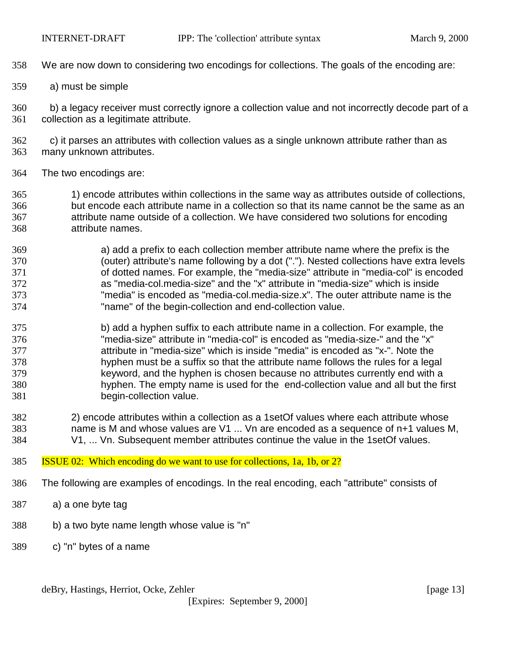- We are now down to considering two encodings for collections. The goals of the encoding are:
- a) must be simple

 b) a legacy receiver must correctly ignore a collection value and not incorrectly decode part of a collection as a legitimate attribute.

 c) it parses an attributes with collection values as a single unknown attribute rather than as many unknown attributes.

The two encodings are:

 1) encode attributes within collections in the same way as attributes outside of collections, but encode each attribute name in a collection so that its name cannot be the same as an attribute name outside of a collection. We have considered two solutions for encoding attribute names.

 a) add a prefix to each collection member attribute name where the prefix is the (outer) attribute's name following by a dot ("."). Nested collections have extra levels of dotted names. For example, the "media-size" attribute in "media-col" is encoded as "media-col.media-size" and the "x" attribute in "media-size" which is inside "media" is encoded as "media-col.media-size.x". The outer attribute name is the "name" of the begin-collection and end-collection value.

- b) add a hyphen suffix to each attribute name in a collection. For example, the "media-size" attribute in "media-col" is encoded as "media-size-" and the "x" attribute in "media-size" which is inside "media" is encoded as "x-". Note the hyphen must be a suffix so that the attribute name follows the rules for a legal keyword, and the hyphen is chosen because no attributes currently end with a hyphen. The empty name is used for the end-collection value and all but the first begin-collection value.
- 2) encode attributes within a collection as a 1setOf values where each attribute whose name is M and whose values are V1 ... Vn are encoded as a sequence of n+1 values M, V1, ... Vn. Subsequent member attributes continue the value in the 1setOf values.
- ISSUE 02: Which encoding do we want to use for collections, 1a, 1b, or 2?
- The following are examples of encodings. In the real encoding, each "attribute" consists of
- a) a one byte tag
- b) a two byte name length whose value is "n"
- c) "n" bytes of a name

deBry, Hastings, Herriot, Ocke, Zehler [page 13]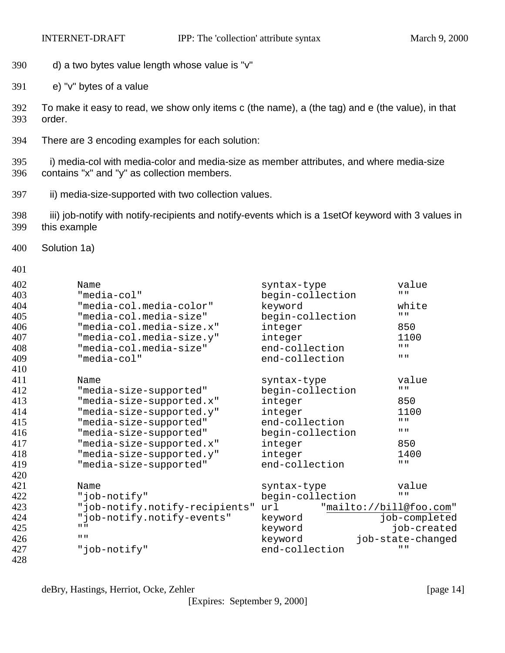- d) a two bytes value length whose value is "v"
- e) "v" bytes of a value
- To make it easy to read, we show only items c (the name), a (the tag) and e (the value), in that order.
- There are 3 encoding examples for each solution:

395 i) media-col with media-color and media-size as member attributes, and where media-size contains "x" and "y" as collection members.

- 397 ii) media-size-supported with two collection values.
- 398 iii) job-notify with notify-recipients and notify-events which is a 1setOf keyword with 3 values in this example
- Solution 1a)

```
401
```

| 402 | Name                           | syntax-type      | value                         |
|-----|--------------------------------|------------------|-------------------------------|
| 403 | "media-col"                    | begin-collection | $\mathbf{H}$ $\mathbf{H}$     |
| 404 | "media-col.media-color"        | keyword          | white                         |
| 405 | "media-col.media-size"         | begin-collection | $\mathbf{H}$ = $\mathbf{H}$   |
| 406 | "media-col.media-size.x"       | integer          | 850                           |
| 407 | "media-col.media-size.y"       | integer          | 1100                          |
| 408 | "media-col.media-size"         | end-collection   | $\mathbf{H} \cdot \mathbf{H}$ |
| 409 | "media-col"                    | end-collection   | $\mathbf{H}$ = $\mathbf{H}$   |
| 410 |                                |                  |                               |
| 411 | Name                           | syntax-type      | value                         |
| 412 | "media-size-supported"         | begin-collection | $\mathbf{H}$ = $\mathbf{H}$   |
| 413 | "media-size-supported.x"       | integer          | 850                           |
| 414 | "media-size-supported.y"       | integer          | 1100                          |
| 415 | "media-size-supported"         | end-collection   | $\mathbf{H}$ = $\mathbf{H}$   |
| 416 | "media-size-supported"         | begin-collection | $\mathbf{H}$ $\mathbf{H}$     |
| 417 | "media-size-supported.x"       | integer          | 850                           |
| 418 | "media-size-supported.y"       | integer          | 1400                          |
| 419 | "media-size-supported"         | end-collection   | H H                           |
| 420 |                                |                  |                               |
| 421 | Name                           | syntax-type      | value                         |
| 422 | "job-notify"                   | begin-collection | H H                           |
| 423 | "job-notify.notify-recipients" | url              | "mailto://bill@foo.com"       |
| 424 | "job-notify.notify-events"     | keyword          | job-completed                 |
| 425 | $\mathbf{H}$ $\mathbf{H}$      | keyword          | job-created                   |
| 426 | $\mathbf{H}$ = $\mathbf{H}$    | keyword          | job-state-changed             |
| 427 | "job-notify"                   | end-collection   | $II$ $II$                     |
| 428 |                                |                  |                               |

deBry, Hastings, Herriot, Ocke, Zehler [page 14]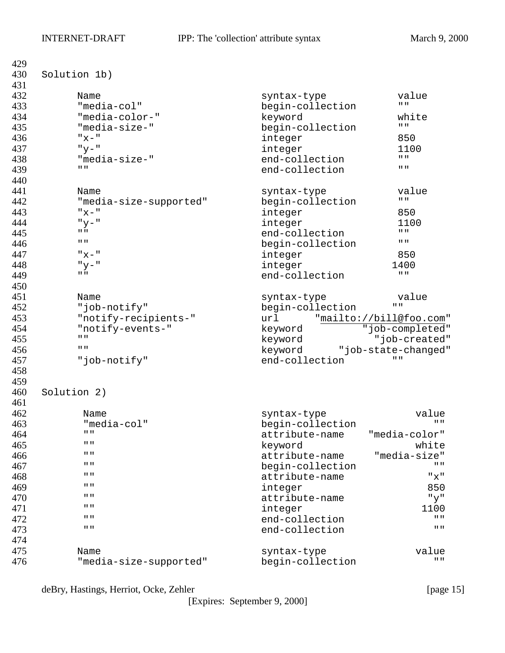| 429 |                                       |                  |                                        |
|-----|---------------------------------------|------------------|----------------------------------------|
| 430 | Solution 1b)                          |                  |                                        |
| 431 |                                       |                  |                                        |
| 432 | Name                                  | syntax-type      | value                                  |
| 433 | "media-col"                           | begin-collection | $\mathbf{H}$ $\mathbf{H}$              |
| 434 | "media-color-"                        | keyword          | white                                  |
| 435 | "media-size-"                         | begin-collection | $\mathbf{H} \cdot \mathbf{H}$          |
| 436 | "x"                                   | integer          | 850                                    |
| 437 | $"y-"$                                | integer          | 1100                                   |
| 438 | "media-size-"                         | end-collection   | $\mathbf{H}$ $\mathbf{H}$              |
| 439 | $\mathbf{H}$ $\mathbf{H}$             | end-collection   | $\mathbf{H}$ $\mathbf{H}$              |
| 440 |                                       |                  |                                        |
| 441 | Name                                  | syntax-type      | value                                  |
| 442 | "media-size-supported"                | begin-collection | $\mathbf{H} \parallel \mathbf{H}$      |
| 443 | $"x-"$                                | integer          | 850                                    |
| 444 | $"y-"$                                | integer          | 1100                                   |
| 445 | $II$ $II$                             | end-collection   | $\mathbf{H}$ = $\mathbf{H}$            |
| 446 | $II$ $II$                             |                  | $\mathbf{H}$ $\mathbf{H}$              |
| 447 | $" \times \text{--}$ "                | begin-collection | 850                                    |
| 448 |                                       | integer          |                                        |
|     | $"y - "$<br>$\mathbf{H}$ $\mathbf{H}$ | integer          | 1400<br>$\mathbf{H}$ = $\mathbf{H}$    |
| 449 |                                       | end-collection   |                                        |
| 450 |                                       |                  |                                        |
| 451 | Name                                  | syntax-type      | value                                  |
| 452 | "job-notify"                          | begin-collection | $\mathbf{H}$ $\mathbf{H}$              |
| 453 | "notify-recipients-"                  | url              | "mailto://bill@foo.com"                |
| 454 | "notify-events-"                      | keyword          | "job-completed"                        |
| 455 | $II$ $II$                             | keyword          | "job-created"                          |
| 456 | $II$ $II$                             | keyword          | "job-state-changed"                    |
| 457 | "job-notify"                          | end-collection   | 11 H                                   |
| 458 |                                       |                  |                                        |
| 459 |                                       |                  |                                        |
| 460 | Solution 2)                           |                  |                                        |
| 461 |                                       |                  |                                        |
| 462 | Name                                  | syntax-type      | value                                  |
| 463 | "media-col"                           | begin-collection | $\mathbf{H}$ $\mathbf{H}$              |
| 464 | 11 H                                  | attribute-name   | "media-color"                          |
| 465 | 11 H                                  | keyword          | white                                  |
| 466 | 11 H                                  | attribute-name   | "media-size"                           |
| 467 | 11 H                                  | begin-collection | 11 H                                   |
| 468 | 11 H                                  | attribute-name   | "x"                                    |
| 469 | 11 H                                  | integer          | 850                                    |
| 470 | 11 H                                  | attribute-name   | "y"                                    |
| 471 | 11 H                                  | integer          | 1100                                   |
| 472 | 11 H                                  | end-collection   | $\mathbf{H}$ $\mathbf{H}$              |
| 473 | 11 H                                  | end-collection   | $\mathbf{H}$ $\mathbf{H}$              |
| 474 |                                       |                  |                                        |
| 475 |                                       |                  |                                        |
|     | Name                                  | syntax-type      | value<br>$\mathbf{H} \cdot \mathbf{H}$ |
| 476 | "media-size-supported"                | begin-collection |                                        |

deBry, Hastings, Herriot, Ocke, Zehler [page 15]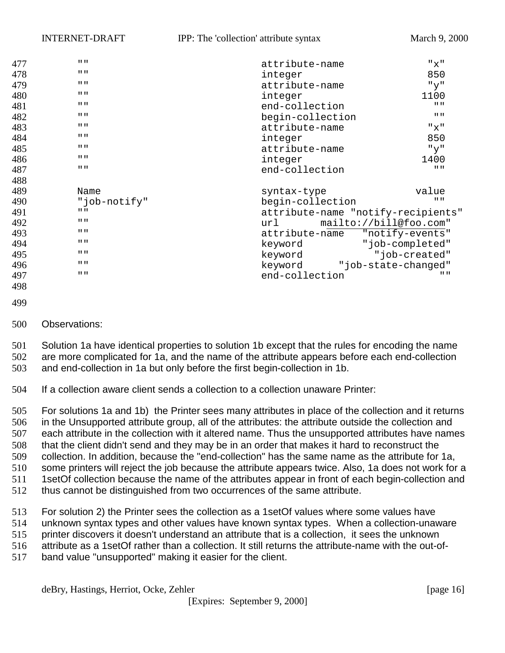| 477 | $\mathbf{H}$ = $\mathbf{H}$ | attribute-name                     | "x"                       |
|-----|-----------------------------|------------------------------------|---------------------------|
| 478 | $\mathbf{H}$ $\mathbf{H}$   | 850<br>integer                     |                           |
| 479 | $\mathbf{H}$ $\mathbf{H}$   | attribute-name                     | "y"                       |
| 480 | $\mathbf{H}$ = $\mathbf{H}$ | integer                            | 1100                      |
| 481 | $\mathbf{H}$ $\mathbf{H}$   | end-collection                     | $\mathbf{H}$ $\mathbf{H}$ |
| 482 | $\mathbf{H}$ = $\mathbf{H}$ | begin-collection                   | $\mathbf{H}$ $\mathbf{H}$ |
| 483 | $\mathbf{H}$ = $\mathbf{H}$ | attribute-name                     | "x"                       |
| 484 | $\mathbf{H}$ $\mathbf{H}$   | integer                            | 850                       |
| 485 | $\mathbf{H}$ = $\mathbf{H}$ | attribute-name                     | "y"                       |
| 486 | $\mathbf{H}$ $\mathbf{H}$   | integer                            | 1400                      |
| 487 | $\mathbf{H}$ $\mathbf{H}$   | end-collection                     | $\mathbf{H}$ $\mathbf{H}$ |
| 488 |                             |                                    |                           |
| 489 | Name                        | syntax-type                        | value                     |
| 490 | "job-notify"                | begin-collection                   | $\mathbf{H}$ $\mathbf{H}$ |
| 491 | $\mathbf{H}$ $\mathbf{H}$   | attribute-name "notify-recipients" |                           |
| 492 | $\mathbf{H}$ $\mathbf{H}$   | mailto://bill@foo.com"<br>url      |                           |
| 493 | $\mathbf{H}$ $\mathbf{H}$   | attribute-name                     | "notify-events"           |
| 494 | $\mathbf{H}$ $\mathbf{H}$   | keyword                            | "job-completed"           |
| 495 | $\mathbf{H}$ $\mathbf{H}$   | keyword                            | "job-created"             |
| 496 | $\mathbf{H}$ $\mathbf{H}$   | keyword "job-state-changed"        |                           |
| 497 | $\mathbf{H}$ $\mathbf{H}$   | end-collection                     | $II$ $II$                 |
| 498 |                             |                                    |                           |
|     |                             |                                    |                           |

- 
- Observations:

 Solution 1a have identical properties to solution 1b except that the rules for encoding the name are more complicated for 1a, and the name of the attribute appears before each end-collection and end-collection in 1a but only before the first begin-collection in 1b.

If a collection aware client sends a collection to a collection unaware Printer:

 For solutions 1a and 1b) the Printer sees many attributes in place of the collection and it returns in the Unsupported attribute group, all of the attributes: the attribute outside the collection and each attribute in the collection with it altered name. Thus the unsupported attributes have names that the client didn't send and they may be in an order that makes it hard to reconstruct the collection. In addition, because the "end-collection" has the same name as the attribute for 1a, some printers will reject the job because the attribute appears twice. Also, 1a does not work for a 511 1setOf collection because the name of the attributes appear in front of each begin-collection and thus cannot be distinguished from two occurrences of the same attribute.

 For solution 2) the Printer sees the collection as a 1setOf values where some values have unknown syntax types and other values have known syntax types. When a collection-unaware printer discovers it doesn't understand an attribute that is a collection, it sees the unknown attribute as a 1setOf rather than a collection. It still returns the attribute-name with the out-of-band value "unsupported" making it easier for the client.

deBry, Hastings, Herriot, Ocke, Zehler [page 16]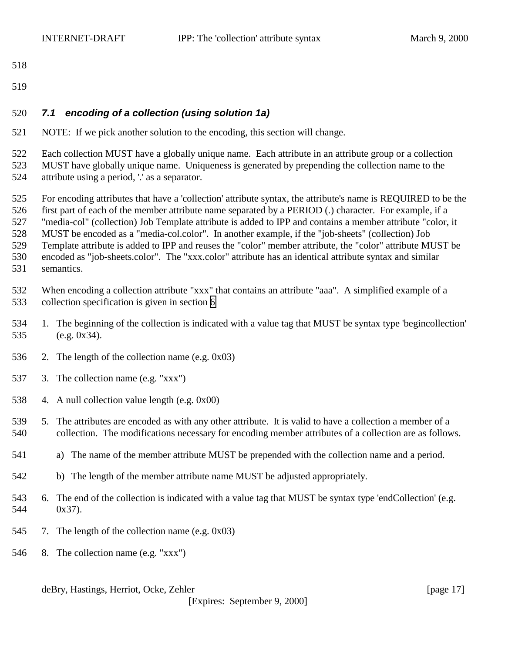- <span id="page-16-0"></span>
- 

## *7.1 encoding of a collection (using solution 1a)*

NOTE: If we pick another solution to the encoding, this section will change.

 Each collection MUST have a globally unique name. Each attribute in an attribute group or a collection MUST have globally unique name. Uniqueness is generated by prepending the collection name to the attribute using a period, '.' as a separator.

 For encoding attributes that have a 'collection' attribute syntax, the attribute's name is REQUIRED to be the first part of each of the member attribute name separated by a PERIOD (.) character. For example, if a "media-col" (collection) Job Template attribute is added to IPP and contains a member attribute "color, it MUST be encoded as a "media-col.color". In another example, if the "job-sheets" (collection) Job Template attribute is added to IPP and reuses the "color" member attribute, the "color" attribute MUST be encoded as "job-sheets.color". The "xxx.color" attribute has an identical attribute syntax and similar semantics.

 When encoding a collection attribute "xxx" that contains an attribute "aaa". A simplified example of a collection specification is given in section [6](#page-10-0)

- 1. The beginning of the collection is indicated with a value tag that MUST be syntax type 'begincollection' (e.g. 0x34).
- 2. The length of the collection name (e.g. 0x03)
- 3. The collection name (e.g. "xxx")
- 4. A null collection value length (e.g. 0x00)
- 5. The attributes are encoded as with any other attribute. It is valid to have a collection a member of a collection. The modifications necessary for encoding member attributes of a collection are as follows.
- a) The name of the member attribute MUST be prepended with the collection name and a period.
- b) The length of the member attribute name MUST be adjusted appropriately.
- 6. The end of the collection is indicated with a value tag that MUST be syntax type 'endCollection' (e.g. 0x37).
- 7. The length of the collection name (e.g. 0x03)
- 8. The collection name (e.g. "xxx")

deBry, Hastings, Herriot, Ocke, Zehler [page 17]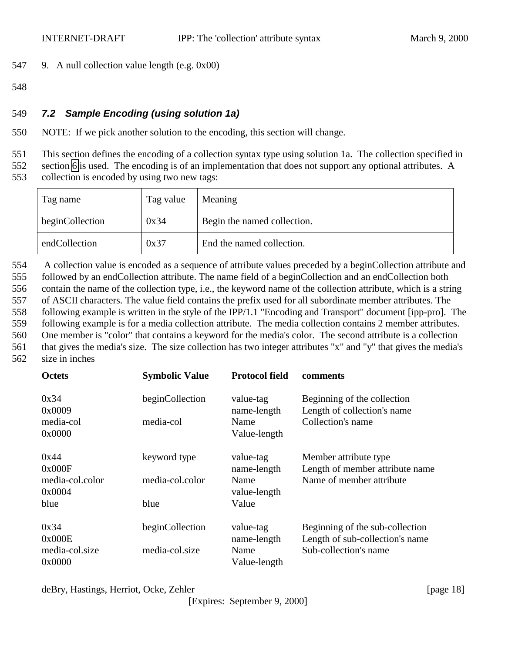- <span id="page-17-0"></span>547 9. A null collection value length (e.g. 0x00)
- 548

## 549 *7.2 Sample Encoding (using solution 1a)*

550 NOTE: If we pick another solution to the encoding, this section will change.

551 This section defines the encoding of a collection syntax type using solution 1a. The collection specified in

552 section [6](#page-10-0) is used. The encoding is of an implementation that does not support any optional attributes. A

553 collection is encoded by using two new tags:

| Tag name        | Tag value | Meaning                     |
|-----------------|-----------|-----------------------------|
| beginCollection | 0x34      | Begin the named collection. |
| endCollection   | 0x37      | End the named collection.   |

554 A collection value is encoded as a sequence of attribute values preceded by a beginCollection attribute and followed by an endCollection attribute. The name field of a beginCollection and an endCollection both contain the name of the collection type, i.e., the keyword name of the collection attribute, which is a string of ASCII characters. The value field contains the prefix used for all subordinate member attributes. The following example is written in the style of the IPP/1.1 "Encoding and Transport" document [ipp-pro]. The following example is for a media collection attribute. The media collection contains 2 member attributes. One member is "color" that contains a keyword for the media's color. The second attribute is a collection that gives the media's size. The size collection has two integer attributes "x" and "y" that gives the media's

562 size in inches

| <b>Octets</b>             | <b>Symbolic Value</b> | <b>Protocol field</b>    | comments                                                   |
|---------------------------|-----------------------|--------------------------|------------------------------------------------------------|
| 0x34<br>0x0009            | beginCollection       | value-tag<br>name-length | Beginning of the collection<br>Length of collection's name |
| media-col<br>0x0000       | media-col             | Name<br>Value-length     | Collection's name                                          |
|                           |                       |                          |                                                            |
| 0x44<br>0x000F            | keyword type          | value-tag<br>name-length | Member attribute type<br>Length of member attribute name   |
| media-col.color<br>0x0004 | media-col.color       | Name<br>value-length     | Name of member attribute                                   |
| blue                      | blue                  | Value                    |                                                            |
| 0x34                      | beginCollection       | value-tag                | Beginning of the sub-collection                            |
| 0x000E                    |                       | name-length              | Length of sub-collection's name                            |
| media-col.size            | media-col.size        | Name                     | Sub-collection's name                                      |
| 0x0000                    |                       | Value-length             |                                                            |

deBry, Hastings, Herriot, Ocke, Zehler [page 18]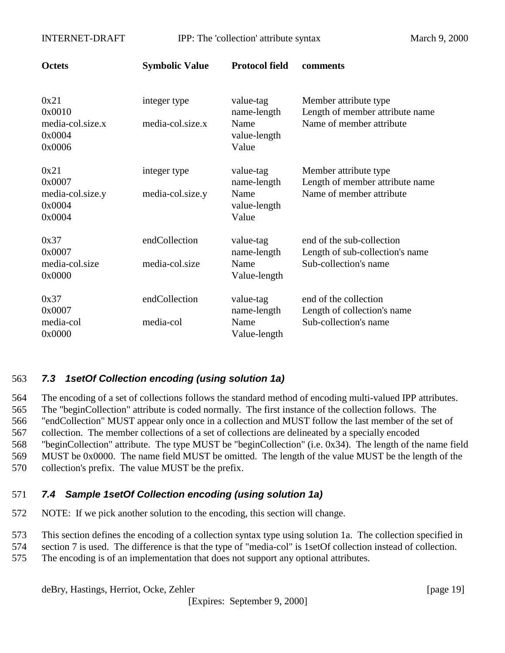<span id="page-18-0"></span>

| <b>Octets</b>                                          | <b>Symbolic Value</b>            | <b>Protocol field</b>                                     | comments                                                                              |
|--------------------------------------------------------|----------------------------------|-----------------------------------------------------------|---------------------------------------------------------------------------------------|
| 0x21<br>0x0010<br>media-col.size.x<br>0x0004<br>0x0006 | integer type<br>media-col.size.x | value-tag<br>name-length<br>Name<br>value-length<br>Value | Member attribute type<br>Length of member attribute name<br>Name of member attribute  |
| 0x21<br>0x0007<br>media-col.size.y<br>0x0004<br>0x0004 | integer type<br>media-col.size.y | value-tag<br>name-length<br>Name<br>value-length<br>Value | Member attribute type<br>Length of member attribute name<br>Name of member attribute  |
| 0x37<br>0x0007<br>media-col.size<br>0x0000             | endCollection<br>media-col.size  | value-tag<br>name-length<br>Name<br>Value-length          | end of the sub-collection<br>Length of sub-collection's name<br>Sub-collection's name |
| 0x37<br>0x0007<br>media-col<br>0x0000                  | endCollection<br>media-col       | value-tag<br>name-length<br>Name<br>Value-length          | end of the collection<br>Length of collection's name<br>Sub-collection's name         |

## 563 *7.3 1setOf Collection encoding (using solution 1a)*

 The encoding of a set of collections follows the standard method of encoding multi-valued IPP attributes. The "beginCollection" attribute is coded normally. The first instance of the collection follows. The "endCollection" MUST appear only once in a collection and MUST follow the last member of the set of collection. The member collections of a set of collections are delineated by a specially encoded "beginCollection" attribute. The type MUST be "beginCollection" (i.e. 0x34). The length of the name field MUST be 0x0000. The name field MUST be omitted. The length of the value MUST be the length of the collection's prefix. The value MUST be the prefix.

## 571 *7.4 Sample 1setOf Collection encoding (using solution 1a)*

572 NOTE: If we pick another solution to the encoding, this section will change.

573 This section defines the encoding of a collection syntax type using solution 1a. The collection specified in

- 574 section 7 is used. The difference is that the type of "media-col" is 1setOf collection instead of collection.
- 575 The encoding is of an implementation that does not support any optional attributes.

deBry, Hastings, Herriot, Ocke, Zehler [page 19]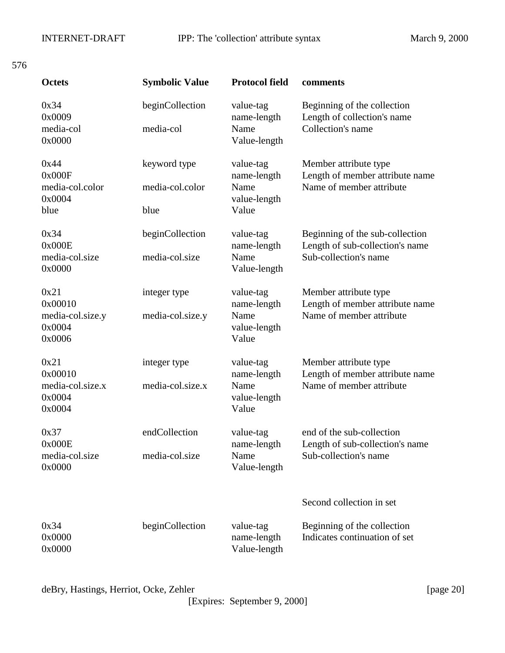|              | ٠ |                          |
|--------------|---|--------------------------|
|              |   |                          |
| I<br>۰.<br>× |   | $\overline{\phantom{a}}$ |

| <b>Octets</b>                                           | <b>Symbolic Value</b>                   | <b>Protocol field</b>                                     | comments                                                                                    |
|---------------------------------------------------------|-----------------------------------------|-----------------------------------------------------------|---------------------------------------------------------------------------------------------|
| 0x34<br>0x0009<br>media-col<br>0x0000                   | beginCollection<br>media-col            | value-tag<br>name-length<br>Name<br>Value-length          | Beginning of the collection<br>Length of collection's name<br>Collection's name             |
| 0x44<br>0x000F<br>media-col.color<br>0x0004<br>blue     | keyword type<br>media-col.color<br>blue | value-tag<br>name-length<br>Name<br>value-length<br>Value | Member attribute type<br>Length of member attribute name<br>Name of member attribute        |
| 0x34<br>0x000E<br>media-col.size<br>0x0000              | beginCollection<br>media-col.size       | value-tag<br>name-length<br>Name<br>Value-length          | Beginning of the sub-collection<br>Length of sub-collection's name<br>Sub-collection's name |
| 0x21<br>0x00010<br>media-col.size.y<br>0x0004<br>0x0006 | integer type<br>media-col.size.y        | value-tag<br>name-length<br>Name<br>value-length<br>Value | Member attribute type<br>Length of member attribute name<br>Name of member attribute        |
| 0x21<br>0x00010<br>media-col.size.x<br>0x0004<br>0x0004 | integer type<br>media-col.size.x        | value-tag<br>name-length<br>Name<br>value-length<br>Value | Member attribute type<br>Length of member attribute name<br>Name of member attribute        |
| 0x37<br>0x000E<br>media-col.size<br>0x0000              | endCollection<br>media-col.size         | value-tag<br>name-length<br>Name<br>Value-length          | end of the sub-collection<br>Length of sub-collection's name<br>Sub-collection's name       |
|                                                         |                                         |                                                           | Second collection in set                                                                    |
| 0x34<br>0x0000<br>0x0000                                | beginCollection                         | value-tag<br>name-length<br>Value-length                  | Beginning of the collection<br>Indicates continuation of set                                |

deBry, Hastings, Herriot, Ocke, Zehler [page 20]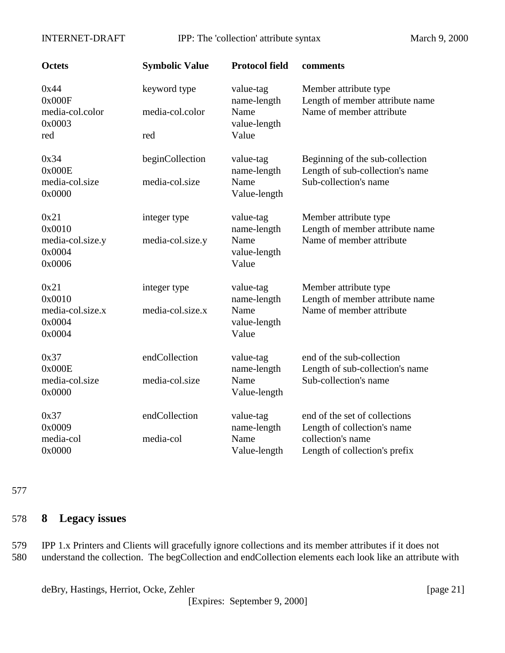<span id="page-20-0"></span>INTERNET-DRAFT IPP: The 'collection' attribute syntax March 9, 2000

| <b>Octets</b>                                          | <b>Symbolic Value</b>                  | <b>Protocol field</b>                                     | comments                                                                                                           |
|--------------------------------------------------------|----------------------------------------|-----------------------------------------------------------|--------------------------------------------------------------------------------------------------------------------|
| 0x44<br>0x000F<br>media-col.color<br>0x0003<br>red     | keyword type<br>media-col.color<br>red | value-tag<br>name-length<br>Name<br>value-length<br>Value | Member attribute type<br>Length of member attribute name<br>Name of member attribute                               |
| 0x34<br>0x000E<br>media-col.size<br>0x0000             | beginCollection<br>media-col.size      | value-tag<br>name-length<br>Name<br>Value-length          | Beginning of the sub-collection<br>Length of sub-collection's name<br>Sub-collection's name                        |
| 0x21<br>0x0010<br>media-col.size.y<br>0x0004<br>0x0006 | integer type<br>media-col.size.y       | value-tag<br>name-length<br>Name<br>value-length<br>Value | Member attribute type<br>Length of member attribute name<br>Name of member attribute                               |
| 0x21<br>0x0010<br>media-col.size.x<br>0x0004<br>0x0004 | integer type<br>media-col.size.x       | value-tag<br>name-length<br>Name<br>value-length<br>Value | Member attribute type<br>Length of member attribute name<br>Name of member attribute                               |
| 0x37<br>0x000E<br>media-col.size<br>0x0000             | endCollection<br>media-col.size        | value-tag<br>name-length<br>Name<br>Value-length          | end of the sub-collection<br>Length of sub-collection's name<br>Sub-collection's name                              |
| 0x37<br>0x0009<br>media-col<br>0x0000                  | endCollection<br>media-col             | value-tag<br>name-length<br>Name<br>Value-length          | end of the set of collections<br>Length of collection's name<br>collection's name<br>Length of collection's prefix |

#### 577

# 578 **8 Legacy issues**

579 IPP 1.x Printers and Clients will gracefully ignore collections and its member attributes if it does not 580 understand the collection. The begCollection and endCollection elements each look like an attribute with

deBry, Hastings, Herriot, Ocke, Zehler [page 21]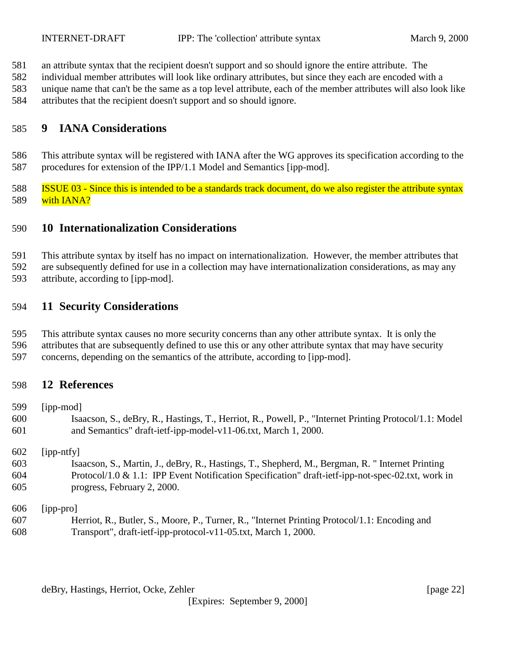- <span id="page-21-0"></span>an attribute syntax that the recipient doesn't support and so should ignore the entire attribute. The
- individual member attributes will look like ordinary attributes, but since they each are encoded with a
- unique name that can't be the same as a top level attribute, each of the member attributes will also look like
- attributes that the recipient doesn't support and so should ignore.

## **9 IANA Considerations**

 This attribute syntax will be registered with IANA after the WG approves its specification according to the procedures for extension of the IPP/1.1 Model and Semantics [ipp-mod].

 ISSUE 03 - Since this is intended to be a standards track document, do we also register the attribute syntax 589 with IANA?

## **10 Internationalization Considerations**

 This attribute syntax by itself has no impact on internationalization. However, the member attributes that are subsequently defined for use in a collection may have internationalization considerations, as may any

attribute, according to [ipp-mod].

## **11 Security Considerations**

- This attribute syntax causes no more security concerns than any other attribute syntax. It is only the
- attributes that are subsequently defined to use this or any other attribute syntax that may have security
- concerns, depending on the semantics of the attribute, according to [ipp-mod].

## **12 References**

 [ipp-mod] Isaacson, S., deBry, R., Hastings, T., Herriot, R., Powell, P., "Internet Printing Protocol/1.1: Model and Semantics" draft-ietf-ipp-model-v11-06.txt, March 1, 2000. [ipp-ntfy] Isaacson, S., Martin, J., deBry, R., Hastings, T., Shepherd, M., Bergman, R. " Internet Printing Protocol/1.0 & 1.1: IPP Event Notification Specification" draft-ietf-ipp-not-spec-02.txt, work in progress, February 2, 2000.

[ipp-pro]

 Herriot, R., Butler, S., Moore, P., Turner, R., "Internet Printing Protocol/1.1: Encoding and Transport", draft-ietf-ipp-protocol-v11-05.txt, March 1, 2000.

deBry, Hastings, Herriot, Ocke, Zehler [page 22]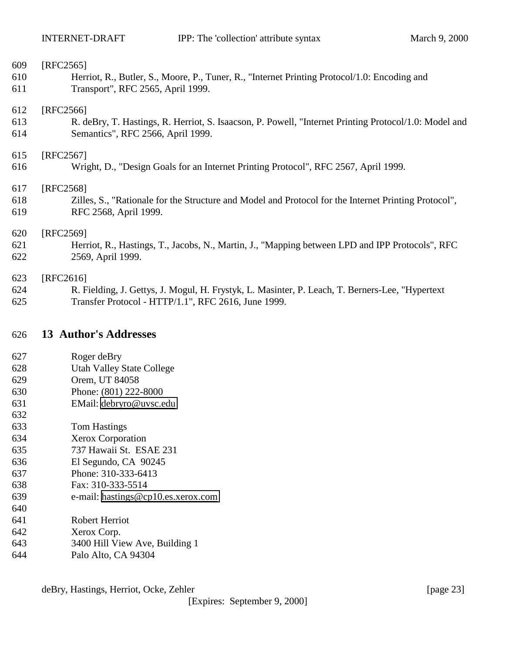<span id="page-22-0"></span>

| 609 | [RFC2565]                                                                                             |
|-----|-------------------------------------------------------------------------------------------------------|
| 610 | Herriot, R., Butler, S., Moore, P., Tuner, R., "Internet Printing Protocol/1.0: Encoding and          |
| 611 | Transport", RFC 2565, April 1999.                                                                     |
| 612 | [RFC2566]                                                                                             |
| 613 | R. deBry, T. Hastings, R. Herriot, S. Isaacson, P. Powell, "Internet Printing Protocol/1.0: Model and |
| 614 | Semantics", RFC 2566, April 1999.                                                                     |
| 615 | [RFC2567]                                                                                             |
| 616 | Wright, D., "Design Goals for an Internet Printing Protocol", RFC 2567, April 1999.                   |
| 617 | [RFC2568]                                                                                             |
| 618 | Zilles, S., "Rationale for the Structure and Model and Protocol for the Internet Printing Protocol",  |
| 619 | RFC 2568, April 1999.                                                                                 |
| 620 | [RFC2569]                                                                                             |
| 621 | Herriot, R., Hastings, T., Jacobs, N., Martin, J., "Mapping between LPD and IPP Protocols", RFC       |
| 622 | 2569, April 1999.                                                                                     |
| 623 | [RFC2616]                                                                                             |
| 624 | R. Fielding, J. Gettys, J. Mogul, H. Frystyk, L. Masinter, P. Leach, T. Berners-Lee, "Hypertext"      |
| 625 | Transfer Protocol - HTTP/1.1", RFC 2616, June 1999.                                                   |

## **13 Author's Addresses**

- Roger deBry
- Utah Valley State College
- Orem, UT 84058
- Phone: (801) 222-8000
- EMail: [debryro@uvsc.edu](mailto:debryro@uvsc.edu)
- 
- Tom Hastings
- Xerox Corporation
- 737 Hawaii St. ESAE 231
- El Segundo, CA 90245
- Phone: 310-333-6413
- Fax: 310-333-5514
- e-mail: [hastings@cp10.es.xerox.com](mailto:hastings@cp10.es.xerox.com)
- Robert Herriot
- Xerox Corp.
- 3400 Hill View Ave, Building 1
- Palo Alto, CA 94304

deBry, Hastings, Herriot, Ocke, Zehler [page 23]